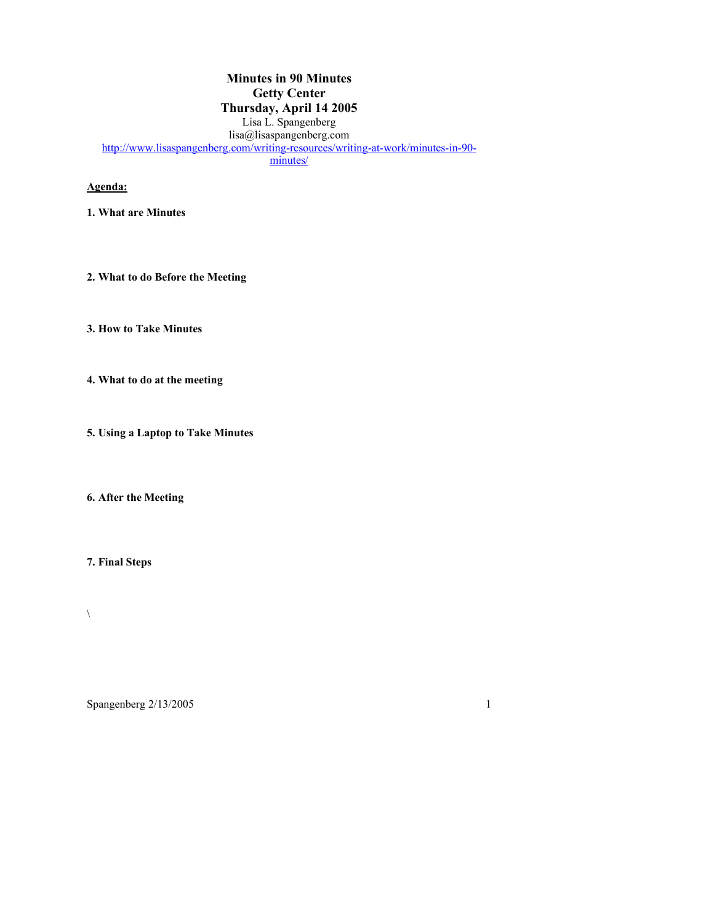### **Minutes in 90 Minutes Getty Center Thursday, April 14 2005** Lisa L. Spangenberg lisa@lisaspangenberg.com http://www.lisaspangenberg.com/writing-resources/writing-at-work/minutes-in-90minutes/

## **Agenda:**

- **1. What are Minutes**
- **2. What to do Before the Meeting**
- **3. How to Take Minutes**
- **4. What to do at the meeting**
- **5. Using a Laptop to Take Minutes**

**6. After the Meeting**

**7. Final Steps**

 $\bar{\mathbf{v}}$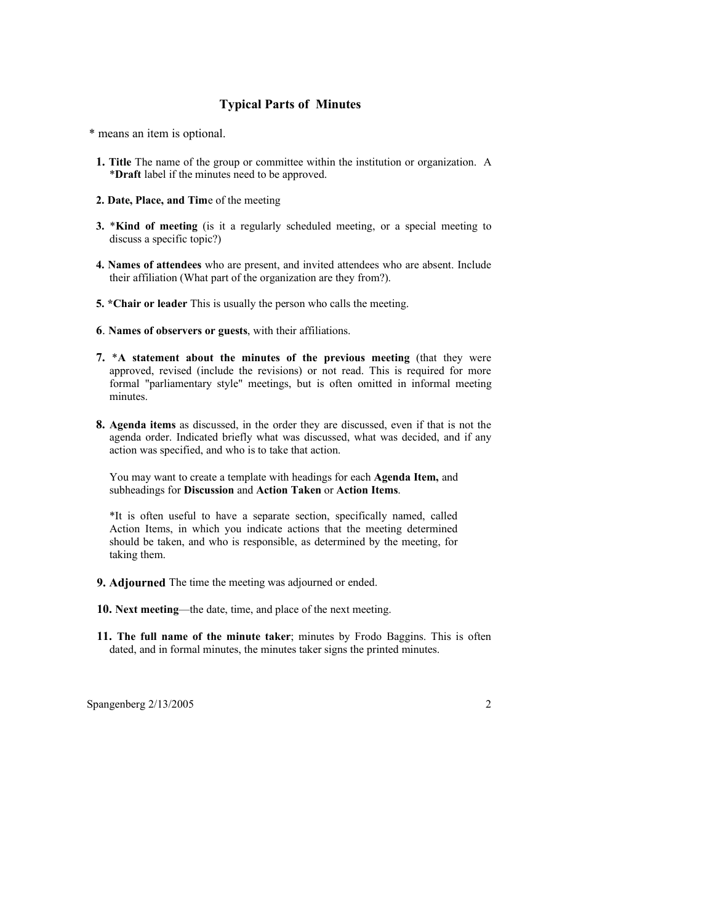#### **Typical Parts of Minutes**

\* means an item is optional.

- **1. Title** The name of the group or committee within the institution or organization. A \***Draft** label if the minutes need to be approved.
- **2. Date, Place, and Tim**e of the meeting
- **3.** \***Kind of meeting** (is it a regularly scheduled meeting, or a special meeting to discuss a specific topic?)
- **4. Names of attendees** who are present, and invited attendees who are absent. Include their affiliation (What part of the organization are they from?).
- **5. \*Chair or leader** This is usually the person who calls the meeting.
- **6**. **Names of observers or guests**, with their affiliations.
- **7.** \***A statement about the minutes of the previous meeting** (that they were approved, revised (include the revisions) or not read. This is required for more formal "parliamentary style" meetings, but is often omitted in informal meeting minutes.
- **8. Agenda items** as discussed, in the order they are discussed, even if that is not the agenda order. Indicated briefly what was discussed, what was decided, and if any action was specified, and who is to take that action.

You may want to create a template with headings for each **Agenda Item,** and subheadings for **Discussion** and **Action Taken** or **Action Items**.

\*It is often useful to have a separate section, specifically named, called Action Items, in which you indicate actions that the meeting determined should be taken, and who is responsible, as determined by the meeting, for taking them.

- **9. Adjourned** The time the meeting was adjourned or ended.
- **10. Next meeting**—the date, time, and place of the next meeting.
- **11. The full name of the minute taker**; minutes by Frodo Baggins. This is often dated, and in formal minutes, the minutes taker signs the printed minutes.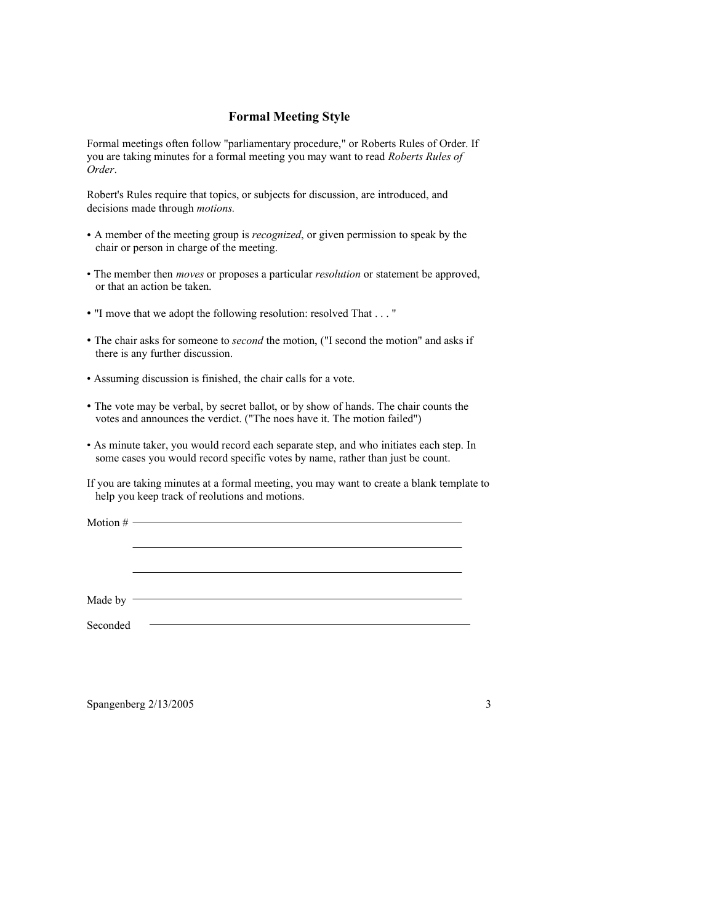#### **Formal Meeting Style**

Formal meetings often follow "parliamentary procedure," or Roberts Rules of Order. If you are taking minutes for a formal meeting you may want to read *Roberts Rules of Order*.

Robert's Rules require that topics, or subjects for discussion, are introduced, and decisions made through *motions.*

- A member of the meeting group is *recognized*, or given permission to speak by the chair or person in charge of the meeting.
- The member then *moves* or proposes a particular *resolution* or statement be approved, or that an action be taken.
- "I move that we adopt the following resolution: resolved That . . . "
- The chair asks for someone to *second* the motion, ("I second the motion" and asks if there is any further discussion.
- Assuming discussion is finished, the chair calls for a vote.
- The vote may be verbal, by secret ballot, or by show of hands. The chair counts the votes and announces the verdict. ("The noes have it. The motion failed")
- As minute taker, you would record each separate step, and who initiates each step. In some cases you would record specific votes by name, rather than just be count.

If you are taking minutes at a formal meeting, you may want to create a blank template to help you keep track of reolutions and motions.

<u> 1989 - Johann Stoff, deutscher Stoff, der Stoff, der Stoff, der Stoff, der Stoff, der Stoff, der Stoff, der S</u>

Motion #

Made by  $-$ 

Seconded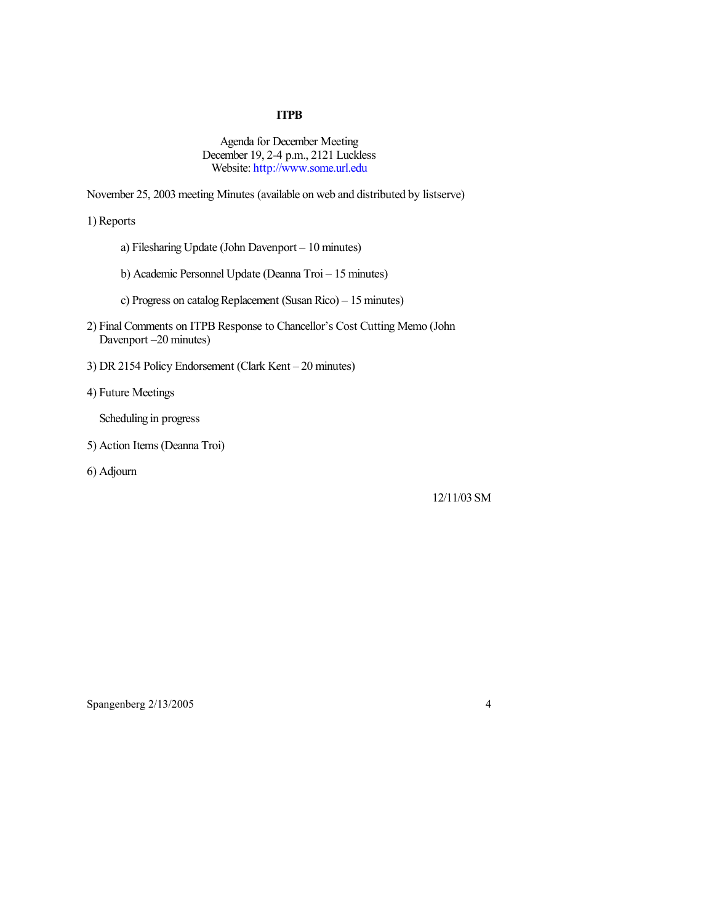### **ITPB**

Agenda for December Meeting December 19, 2-4 p.m., 2121 Luckless Website: http://www.some.url.edu

November 25, 2003 meeting Minutes (available on web and distributed by listserve)

1) Reports

- a) Filesharing Update (John Davenport 10 minutes)
- b) Academic Personnel Update (Deanna Troi 15 minutes)
- c) Progress on catalog Replacement (Susan Rico) 15 minutes)
- 2) Final Comments on ITPB Response to Chancellor's Cost Cutting Memo (John Davenport –20 minutes)
- 3) DR 2154 Policy Endorsement (Clark Kent 20 minutes)
- 4) Future Meetings

Scheduling in progress

5) Action Items (Deanna Troi)

6) Adjourn

12/11/03 SM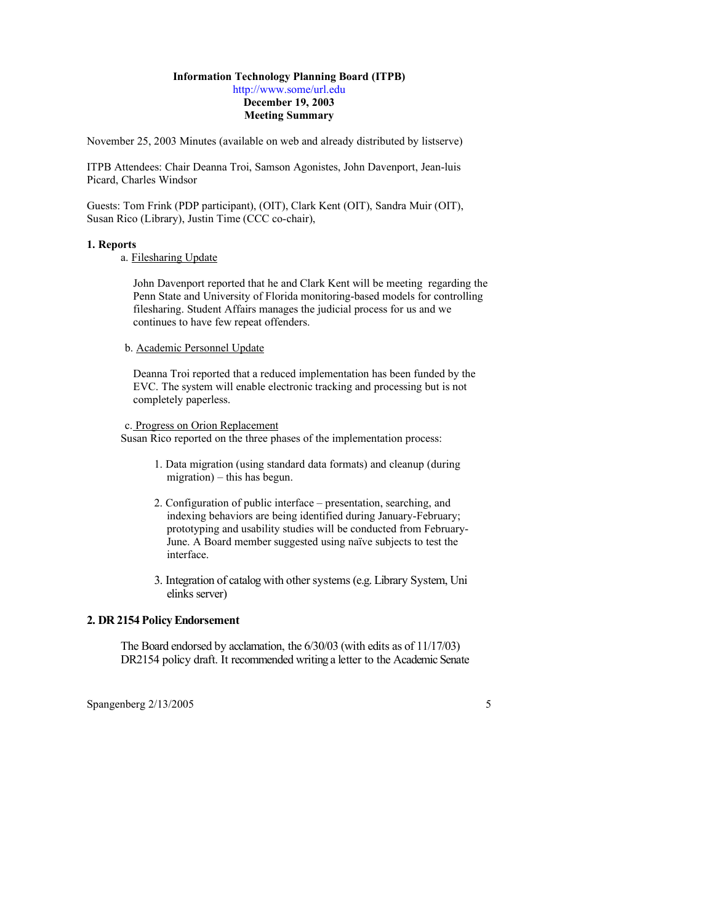#### **Information Technology Planning Board (ITPB)**

http://www.some/url.edu **December 19, 2003 Meeting Summary**

November 25, 2003 Minutes (available on web and already distributed by listserve)

ITPB Attendees: Chair Deanna Troi, Samson Agonistes, John Davenport, Jean-luis Picard, Charles Windsor

Guests: Tom Frink (PDP participant), (OIT), Clark Kent (OIT), Sandra Muir (OIT), Susan Rico (Library), Justin Time (CCC co-chair),

#### **1. Reports**

#### a. Filesharing Update

John Davenport reported that he and Clark Kent will be meeting regarding the Penn State and University of Florida monitoring-based models for controlling filesharing. Student Affairs manages the judicial process for us and we continues to have few repeat offenders.

#### b. Academic Personnel Update

Deanna Troi reported that a reduced implementation has been funded by the EVC. The system will enable electronic tracking and processing but is not completely paperless.

#### c. Progress on Orion Replacement

Susan Rico reported on the three phases of the implementation process:

- 1. Data migration (using standard data formats) and cleanup (during migration) – this has begun.
- 2. Configuration of public interface presentation, searching, and indexing behaviors are being identified during January-February; prototyping and usability studies will be conducted from February-June. A Board member suggested using naïve subjects to test the interface.
- 3. Integration of catalog with other systems (e.g. Library System, Uni elinks server)

#### **2. DR 2154 Policy Endorsement**

The Board endorsed by acclamation, the 6/30/03 (with edits as of 11/17/03) DR2154 policy draft. It recommended writing a letter to the Academic Senate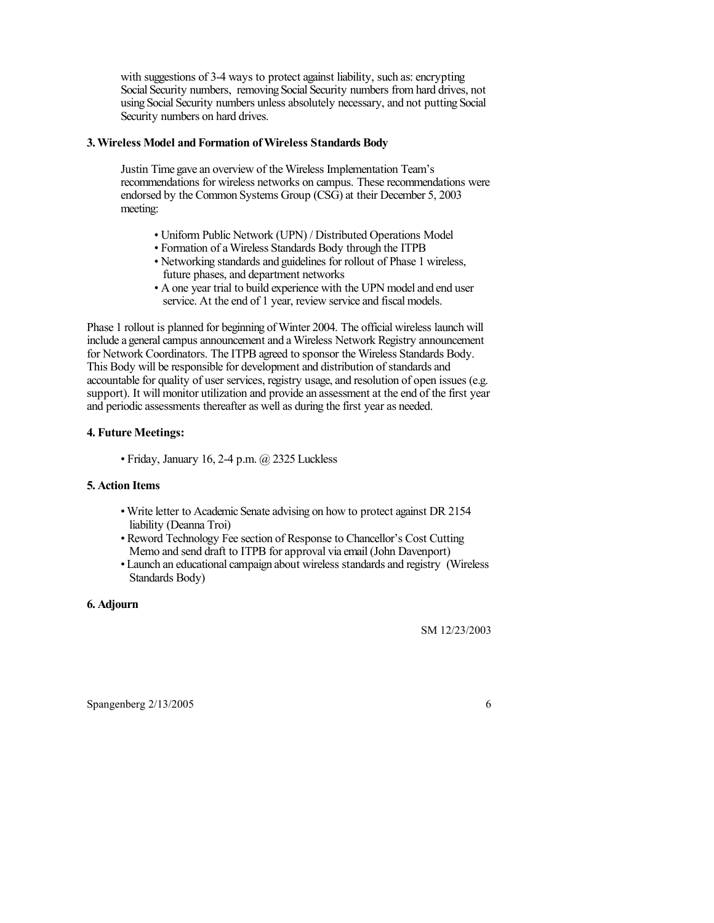with suggestions of 3-4 ways to protect against liability, such as: encrypting Social Security numbers, removing Social Security numbers from hard drives, not using Social Security numbers unless absolutely necessary, and not putting Social Security numbers on hard drives.

#### **3. Wireless Model and Formation of Wireless Standards Body**

Justin Time gave an overview of the Wireless Implementation Team's recommendations for wireless networks on campus. These recommendations were endorsed by the Common Systems Group (CSG) at their December 5, 2003 meeting:

- Uniform Public Network (UPN) / Distributed Operations Model
- Formation of a Wireless Standards Body through the ITPB
- Networking standards and guidelines for rollout of Phase 1 wireless, future phases, and department networks
- A one year trial to build experience with the UPN model and end user service. At the end of 1 year, review service and fiscal models.

Phase 1 rollout is planned for beginning of Winter 2004. The official wireless launch will include a general campus announcement and a Wireless Network Registry announcement for Network Coordinators. The ITPB agreed to sponsor the Wireless Standards Body. This Body will be responsible for development and distribution of standards and accountable for quality of user services, registry usage, and resolution of open issues (e.g. support). It will monitor utilization and provide an assessment at the end of the first year and periodic assessments thereafter as well as during the first year as needed.

### **4. Future Meetings:**

• Friday, January 16, 2-4 p.m. @ 2325 Luckless

#### **5. Action Items**

- Write letter to Academic Senate advising on how to protect against DR 2154 liability (Deanna Troi)
- Reword Technology Fee section of Response to Chancellor's Cost Cutting Memo and send draft to ITPB for approval via email (John Davenport)
- Launch an educational campaign about wireless standards and registry (Wireless Standards Body)

### **6. Adjourn**

SM 12/23/2003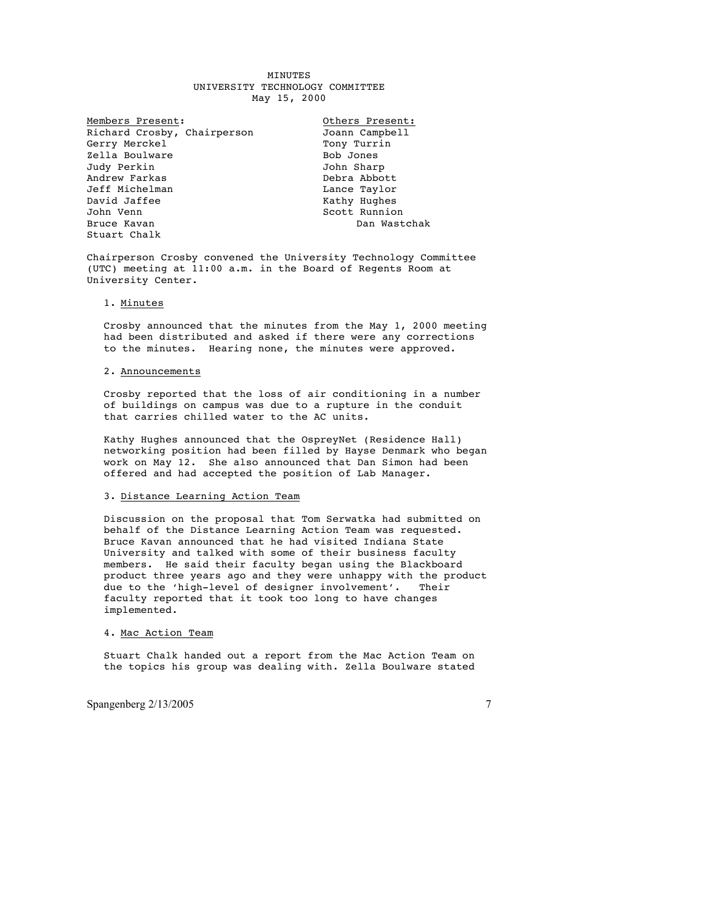#### **MINUTES** UNIVERSITY TECHNOLOGY COMMITTEE May 15, 2000

Members Present:<br>
Richard Crosby, Chairperson<br>
Joann Campbell Richard Crosby, Chairperson Gerry Merckel Tony Turrin Zella Boulware Bob Jones Judy Perkin John Sharp Andrew Farkas Debra Abbott Jeff Michelman Lance Taylor David Jaffee<br>John Venn Bruce Kavan Stuart Chalk

Scott Runnion<br>Dan Wastchak

Chairperson Crosby convened the University Technology Committee (UTC) meeting at 11:00 a.m. in the Board of Regents Room at University Center.

#### 1. Minutes

Crosby announced that the minutes from the May 1, 2000 meeting had been distributed and asked if there were any corrections to the minutes. Hearing none, the minutes were approved.

#### 2. Announcements

Crosby reported that the loss of air conditioning in a number of buildings on campus was due to a rupture in the conduit that carries chilled water to the AC units.

Kathy Hughes announced that the OspreyNet (Residence Hall) networking position had been filled by Hayse Denmark who began work on May 12. She also announced that Dan Simon had been offered and had accepted the position of Lab Manager.

#### 3. Distance Learning Action Team

Discussion on the proposal that Tom Serwatka had submitted on behalf of the Distance Learning Action Team was requested. Bruce Kavan announced that he had visited Indiana State University and talked with some of their business faculty members. He said their faculty began using the Blackboard product three years ago and they were unhappy with the product due to the 'high-level of designer involvement'. Their faculty reported that it took too long to have changes implemented.

#### 4. Mac Action Team

Stuart Chalk handed out a report from the Mac Action Team on the topics his group was dealing with. Zella Boulware stated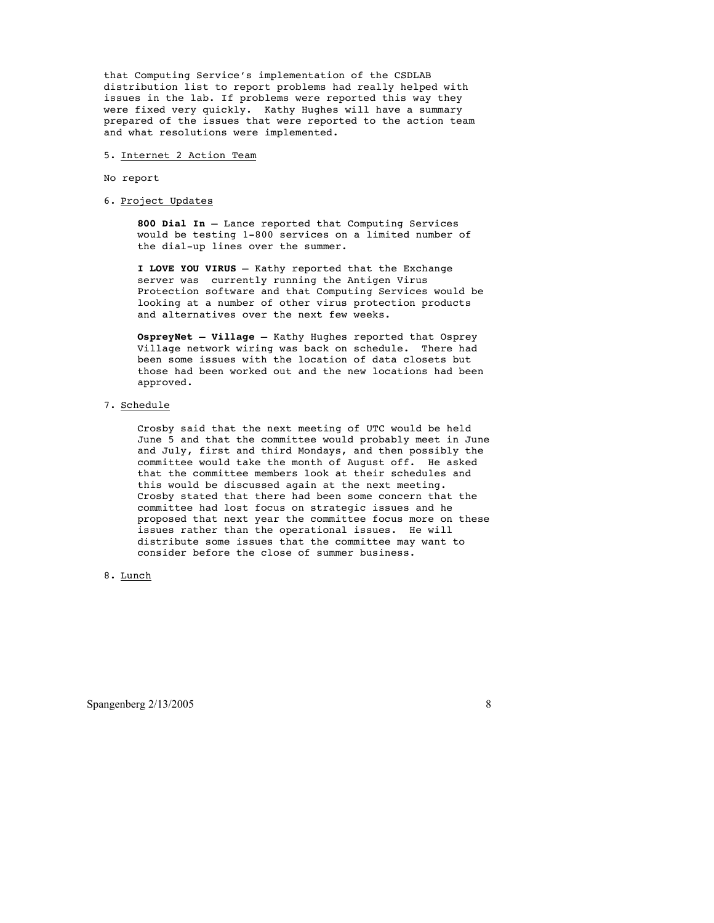that Computing Service's implementation of the CSDLAB distribution list to report problems had really helped with issues in the lab. If problems were reported this way they were fixed very quickly. Kathy Hughes will have a summary prepared of the issues that were reported to the action team and what resolutions were implemented.

#### 5. Internet 2 Action Team

#### No report

6. Project Updates

**800 Dial In** – Lance reported that Computing Services would be testing 1-800 services on a limited number of the dial-up lines over the summer.

**I LOVE YOU VIRUS** – Kathy reported that the Exchange server was currently running the Antigen Virus Protection software and that Computing Services would be looking at a number of other virus protection products and alternatives over the next few weeks.

**OspreyNet – Village** – Kathy Hughes reported that Osprey Village network wiring was back on schedule. There had been some issues with the location of data closets but those had been worked out and the new locations had been approved.

#### 7. Schedule

Crosby said that the next meeting of UTC would be held June 5 and that the committee would probably meet in June and July, first and third Mondays, and then possibly the committee would take the month of August off. He asked that the committee members look at their schedules and this would be discussed again at the next meeting. Crosby stated that there had been some concern that the committee had lost focus on strategic issues and he proposed that next year the committee focus more on these issues rather than the operational issues. He will distribute some issues that the committee may want to consider before the close of summer business.

#### 8. Lunch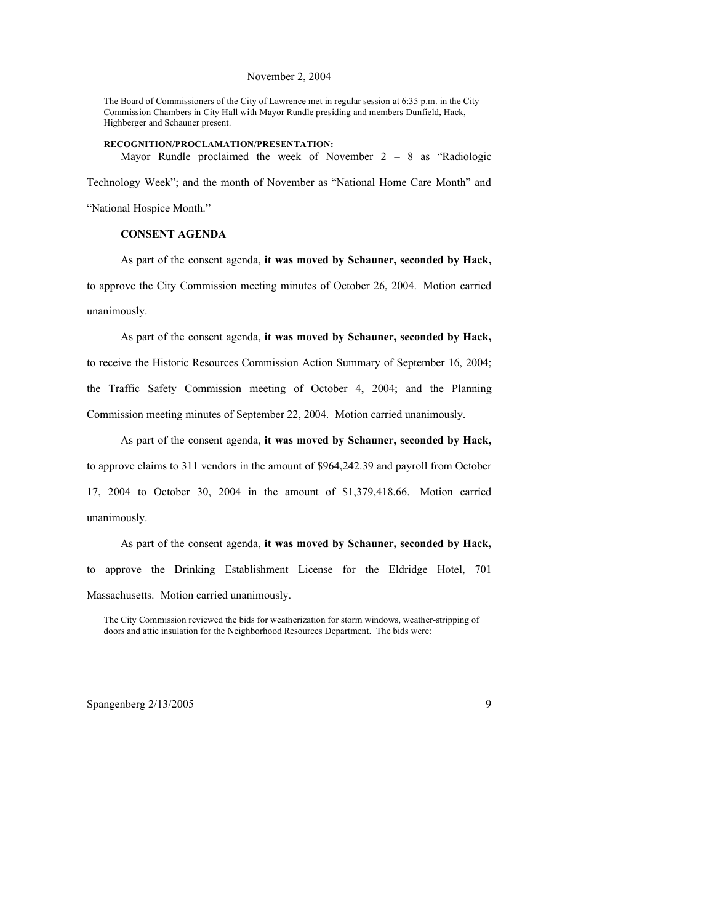#### November 2, 2004

The Board of Commissioners of the City of Lawrence met in regular session at 6:35 p.m. in the City Commission Chambers in City Hall with Mayor Rundle presiding and members Dunfield, Hack, Highberger and Schauner present.

**RECOGNITION/PROCLAMATION/PRESENTATION:** Mayor Rundle proclaimed the week of November 2 – 8 as "Radiologic Technology Week"; and the month of November as "National Home Care Month" and

"National Hospice Month."

#### **CONSENT AGENDA**

As part of the consent agenda, **it was moved by Schauner, seconded by Hack,**  to approve the City Commission meeting minutes of October 26, 2004. Motion carried unanimously.

As part of the consent agenda, **it was moved by Schauner, seconded by Hack,**  to receive the Historic Resources Commission Action Summary of September 16, 2004; the Traffic Safety Commission meeting of October 4, 2004; and the Planning Commission meeting minutes of September 22, 2004. Motion carried unanimously.

As part of the consent agenda, **it was moved by Schauner, seconded by Hack,**  to approve claims to 311 vendors in the amount of \$964,242.39 and payroll from October 17, 2004 to October 30, 2004 in the amount of \$1,379,418.66. Motion carried unanimously.

As part of the consent agenda, **it was moved by Schauner, seconded by Hack,**  to approve the Drinking Establishment License for the Eldridge Hotel, 701 Massachusetts. Motion carried unanimously.

The City Commission reviewed the bids for weatherization for storm windows, weather-stripping of doors and attic insulation for the Neighborhood Resources Department. The bids were: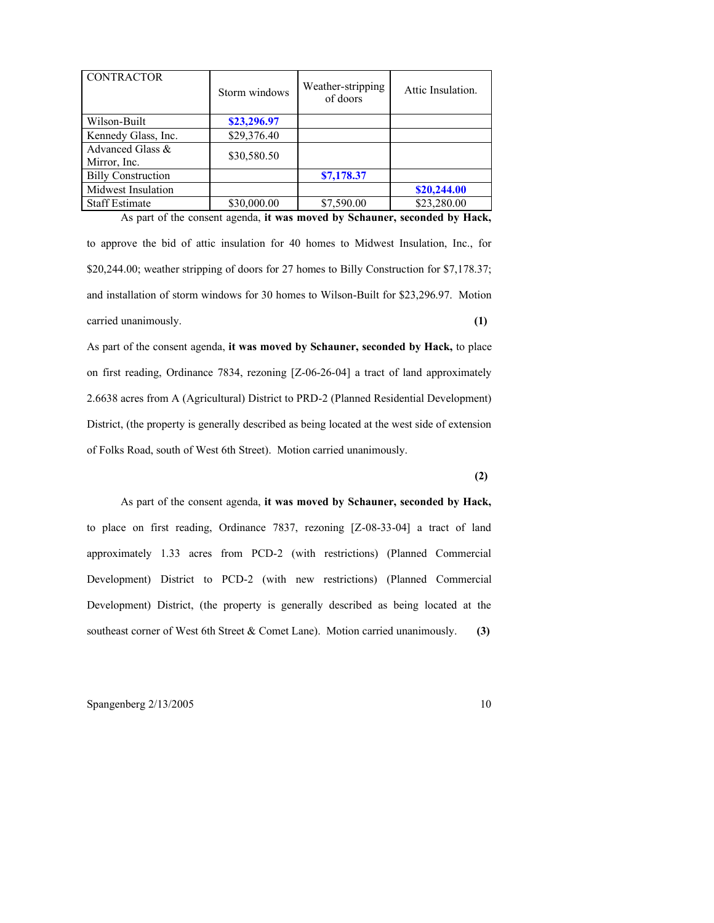| <b>CONTRACTOR</b>                | Storm windows | Weather-stripping<br>of doors | Attic Insulation. |
|----------------------------------|---------------|-------------------------------|-------------------|
| Wilson-Built                     | \$23,296.97   |                               |                   |
| Kennedy Glass, Inc.              | \$29,376.40   |                               |                   |
| Advanced Glass &<br>Mirror, Inc. | \$30,580.50   |                               |                   |
| <b>Billy Construction</b>        |               | \$7,178.37                    |                   |
| Midwest Insulation               |               |                               | \$20,244.00       |
| <b>Staff Estimate</b>            | \$30,000.00   | \$7,590.00                    | \$23,280.00       |

As part of the consent agenda, **it was moved by Schauner, seconded by Hack,** 

to approve the bid of attic insulation for 40 homes to Midwest Insulation, Inc., for \$20,244.00; weather stripping of doors for 27 homes to Billy Construction for \$7,178.37; and installation of storm windows for 30 homes to Wilson-Built for \$23,296.97. Motion carried unanimously. **(1)**

As part of the consent agenda, **it was moved by Schauner, seconded by Hack,** to place on first reading, Ordinance 7834, rezoning [Z-06-26-04] a tract of land approximately 2.6638 acres from A (Agricultural) District to PRD-2 (Planned Residential Development) District, (the property is generally described as being located at the west side of extension of Folks Road, south of West 6th Street). Motion carried unanimously.

**(2)**

As part of the consent agenda, **it was moved by Schauner, seconded by Hack,**  to place on first reading, Ordinance 7837, rezoning [Z-08-33-04] a tract of land approximately 1.33 acres from PCD-2 (with restrictions) (Planned Commercial Development) District to PCD-2 (with new restrictions) (Planned Commercial Development) District, (the property is generally described as being located at the southeast corner of West 6th Street & Comet Lane). Motion carried unanimously. **(3)**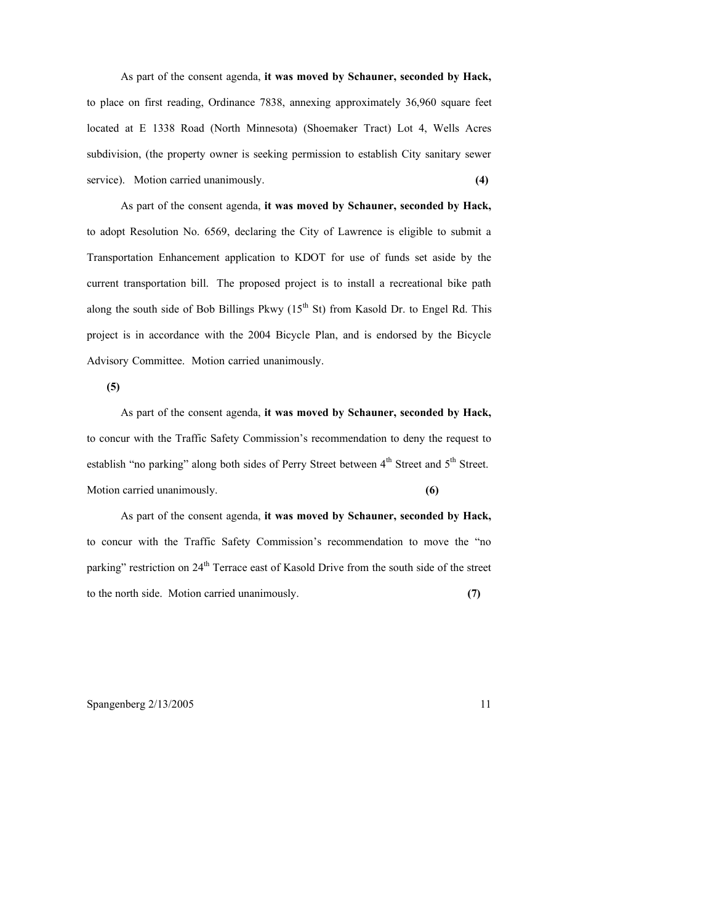As part of the consent agenda, **it was moved by Schauner, seconded by Hack,**  to place on first reading, Ordinance 7838, annexing approximately 36,960 square feet located at E 1338 Road (North Minnesota) (Shoemaker Tract) Lot 4, Wells Acres subdivision, (the property owner is seeking permission to establish City sanitary sewer service). Motion carried unanimously. **(4) (4)** 

As part of the consent agenda, **it was moved by Schauner, seconded by Hack,**  to adopt Resolution No. 6569, declaring the City of Lawrence is eligible to submit a Transportation Enhancement application to KDOT for use of funds set aside by the current transportation bill. The proposed project is to install a recreational bike path along the south side of Bob Billings Pkwy  $(15<sup>th</sup>$  St) from Kasold Dr. to Engel Rd. This project is in accordance with the 2004 Bicycle Plan, and is endorsed by the Bicycle Advisory Committee. Motion carried unanimously.

**(5)**

As part of the consent agenda, **it was moved by Schauner, seconded by Hack,** to concur with the Traffic Safety Commission's recommendation to deny the request to establish "no parking" along both sides of Perry Street between  $4<sup>th</sup>$  Street and  $5<sup>th</sup>$  Street. Motion carried unanimously. **(6)**

As part of the consent agenda, **it was moved by Schauner, seconded by Hack,** to concur with the Traffic Safety Commission's recommendation to move the "no parking" restriction on 24<sup>th</sup> Terrace east of Kasold Drive from the south side of the street to the north side. Motion carried unanimously. **(7)**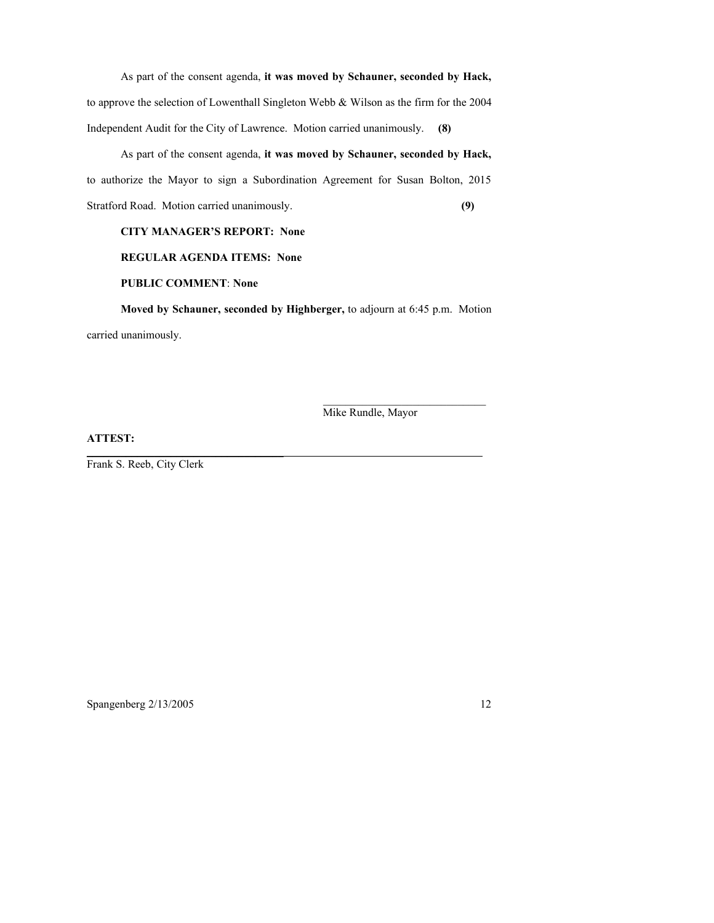As part of the consent agenda, **it was moved by Schauner, seconded by Hack,** to approve the selection of Lowenthall Singleton Webb & Wilson as the firm for the 2004 Independent Audit for the City of Lawrence. Motion carried unanimously. **(8)**

As part of the consent agenda, **it was moved by Schauner, seconded by Hack,** to authorize the Mayor to sign a Subordination Agreement for Susan Bolton, 2015 Stratford Road. Motion carried unanimously. **(9)**

### **CITY MANAGER'S REPORT: None**

### **REGULAR AGENDA ITEMS: None**

#### **PUBLIC COMMENT**: **None**

 $\mathcal{L}_\text{max}$  and  $\mathcal{L}_\text{max}$  and  $\mathcal{L}_\text{max}$  and  $\mathcal{L}_\text{max}$ 

**Moved by Schauner, seconded by Highberger,** to adjourn at 6:45 p.m. Motion carried unanimously.

\_\_\_\_\_\_\_\_\_\_\_\_\_\_\_\_\_\_\_\_\_\_\_\_\_\_\_\_\_

Mike Rundle, Mayor

### **ATTEST:**

Frank S. Reeb, City Clerk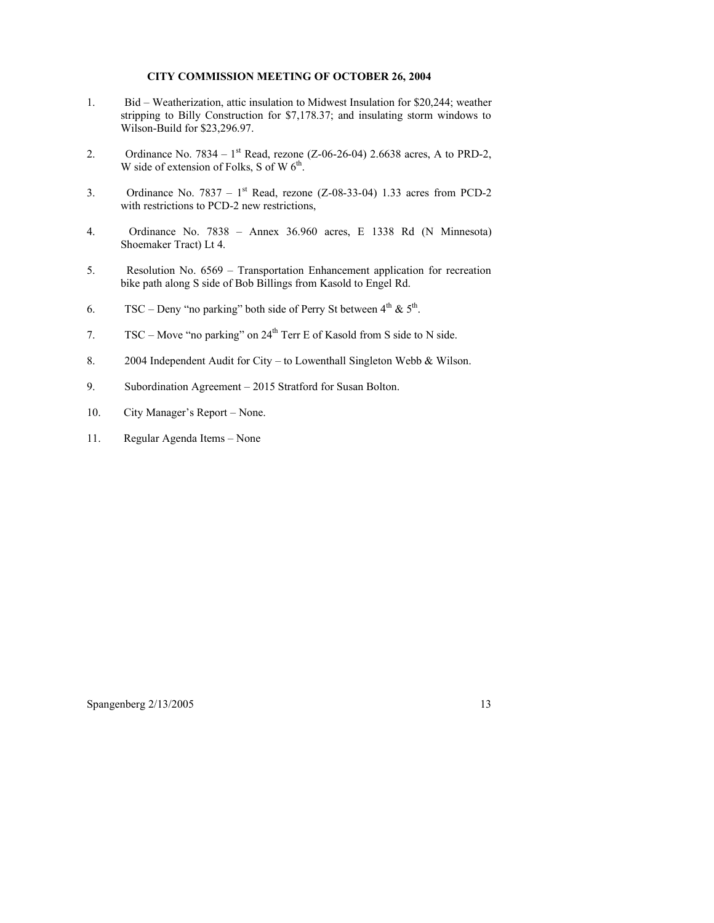#### **CITY COMMISSION MEETING OF OCTOBER 26, 2004**

- 1. Bid Weatherization, attic insulation to Midwest Insulation for \$20,244; weather stripping to Billy Construction for \$7,178.37; and insulating storm windows to Wilson-Build for \$23,296.97.
- 2. Ordinance No. 7834  $1<sup>st</sup>$  Read, rezone (Z-06-26-04) 2.6638 acres, A to PRD-2, W side of extension of Folks, S of W  $6^{th}$ .
- 3. Ordinance No. 7837  $1<sup>st</sup>$  Read, rezone (Z-08-33-04) 1.33 acres from PCD-2 with restrictions to PCD-2 new restrictions,
- 4. Ordinance No. 7838 Annex 36.960 acres, E 1338 Rd (N Minnesota) Shoemaker Tract) Lt 4.
- 5. Resolution No. 6569 Transportation Enhancement application for recreation bike path along S side of Bob Billings from Kasold to Engel Rd.
- 6. TSC Deny "no parking" both side of Perry St between  $4<sup>th</sup>$  &  $5<sup>th</sup>$ .
- 7. TSC Move "no parking" on  $24<sup>th</sup>$  Terr E of Kasold from S side to N side.
- 8. 2004 Independent Audit for City to Lowenthall Singleton Webb & Wilson.
- 9. Subordination Agreement 2015 Stratford for Susan Bolton.
- 10. City Manager's Report None.
- 11. Regular Agenda Items None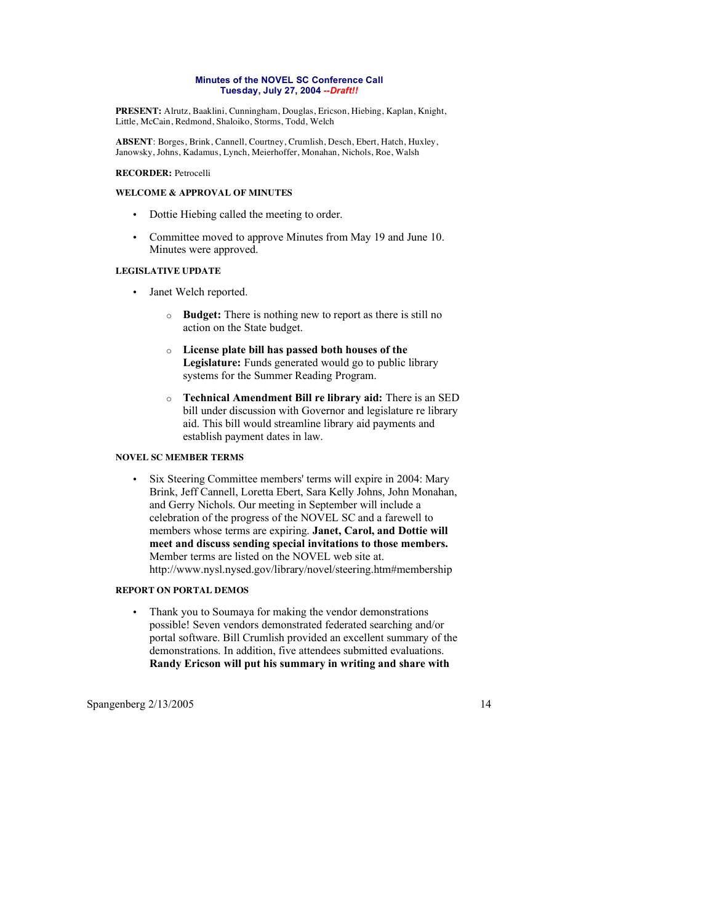#### **Minutes of the NOVEL SC Conference Call Tuesday, July 27, 2004** *--Draft!!*

**PRESENT:** Alrutz, Baaklini, Cunningham, Douglas, Ericson, Hiebing, Kaplan, Knight, Little, McCain, Redmond, Shaloiko, Storms, Todd, Welch

**ABSENT**: Borges, Brink, Cannell, Courtney, Crumlish, Desch, Ebert, Hatch, Huxley, Janowsky, Johns, Kadamus, Lynch, Meierhoffer, Monahan, Nichols, Roe, Walsh

#### **RECORDER:** Petrocelli

#### **WELCOME & APPROVAL OF MINUTES**

- Dottie Hiebing called the meeting to order.
- Committee moved to approve Minutes from May 19 and June 10. Minutes were approved.

#### **LEGISLATIVE UPDATE**

- Janet Welch reported.
	- o **Budget:** There is nothing new to report as there is still no action on the State budget.
	- o **License plate bill has passed both houses of the Legislature:** Funds generated would go to public library systems for the Summer Reading Program.
	- o **Technical Amendment Bill re library aid:** There is an SED bill under discussion with Governor and legislature re library aid. This bill would streamline library aid payments and establish payment dates in law.

#### **NOVEL SC MEMBER TERMS**

• Six Steering Committee members' terms will expire in 2004: Mary Brink, Jeff Cannell, Loretta Ebert, Sara Kelly Johns, John Monahan, and Gerry Nichols. Our meeting in September will include a celebration of the progress of the NOVEL SC and a farewell to members whose terms are expiring. **Janet, Carol, and Dottie will meet and discuss sending special invitations to those members.** Member terms are listed on the NOVEL web site at. http://www.nysl.nysed.gov/library/novel/steering.htm#membership

#### **REPORT ON PORTAL DEMOS**

• Thank you to Soumaya for making the vendor demonstrations possible! Seven vendors demonstrated federated searching and/or portal software. Bill Crumlish provided an excellent summary of the demonstrations. In addition, five attendees submitted evaluations. **Randy Ericson will put his summary in writing and share with**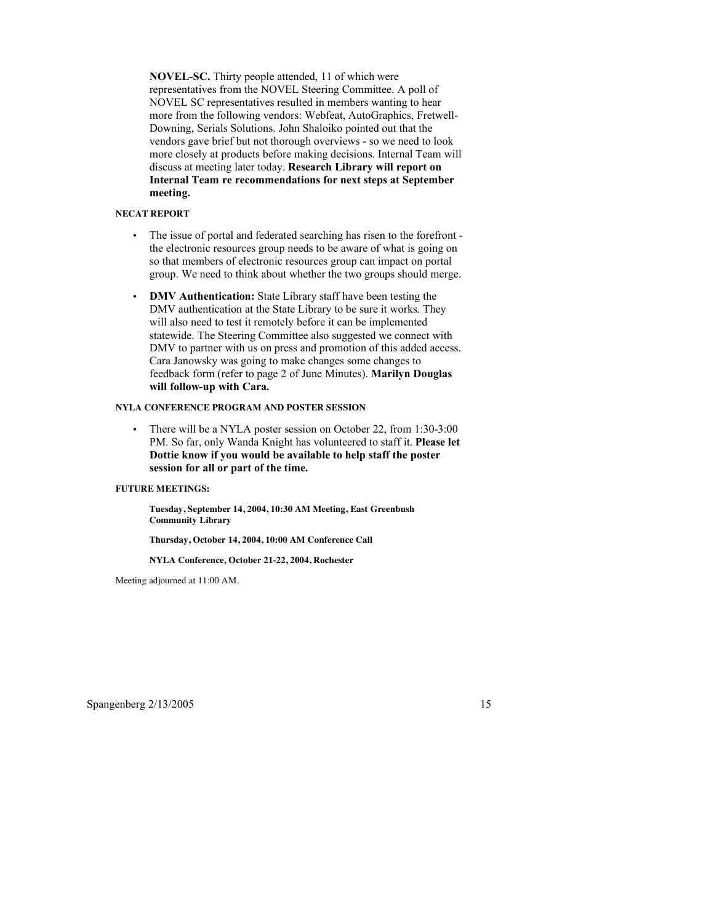**NOVEL-SC.** Thirty people attended, 11 of which were representatives from the NOVEL Steering Committee. A poll of NOVEL SC representatives resulted in members wanting to hear more from the following vendors: Webfeat, AutoGraphics, Fretwell-Downing, Serials Solutions. John Shaloiko pointed out that the vendors gave brief but not thorough overviews - so we need to look more closely at products before making decisions. Internal Team will discuss at meeting later today. **Research Library will report on Internal Team re recommendations for next steps at September meeting.**

#### **NECAT REPORT**

- The issue of portal and federated searching has risen to the forefront the electronic resources group needs to be aware of what is going on so that members of electronic resources group can impact on portal group. We need to think about whether the two groups should merge.
- **DMV Authentication:** State Library staff have been testing the DMV authentication at the State Library to be sure it works. They will also need to test it remotely before it can be implemented statewide. The Steering Committee also suggested we connect with DMV to partner with us on press and promotion of this added access. Cara Janowsky was going to make changes some changes to feedback form (refer to page 2 of June Minutes). **Marilyn Douglas will follow-up with Cara.**

#### **NYLA CONFERENCE PROGRAM AND POSTER SESSION**

There will be a NYLA poster session on October 22, from 1:30-3:00 PM. So far, only Wanda Knight has volunteered to staff it. **Please let Dottie know if you would be available to help staff the poster session for all or part of the time.**

#### **FUTURE MEETINGS:**

**Tuesday, September 14, 2004, 10:30 AM Meeting, East Greenbush Community Library**

**Thursday, October 14, 2004, 10:00 AM Conference Call**

**NYLA Conference, October 21-22, 2004, Rochester**

Meeting adjourned at 11:00 AM.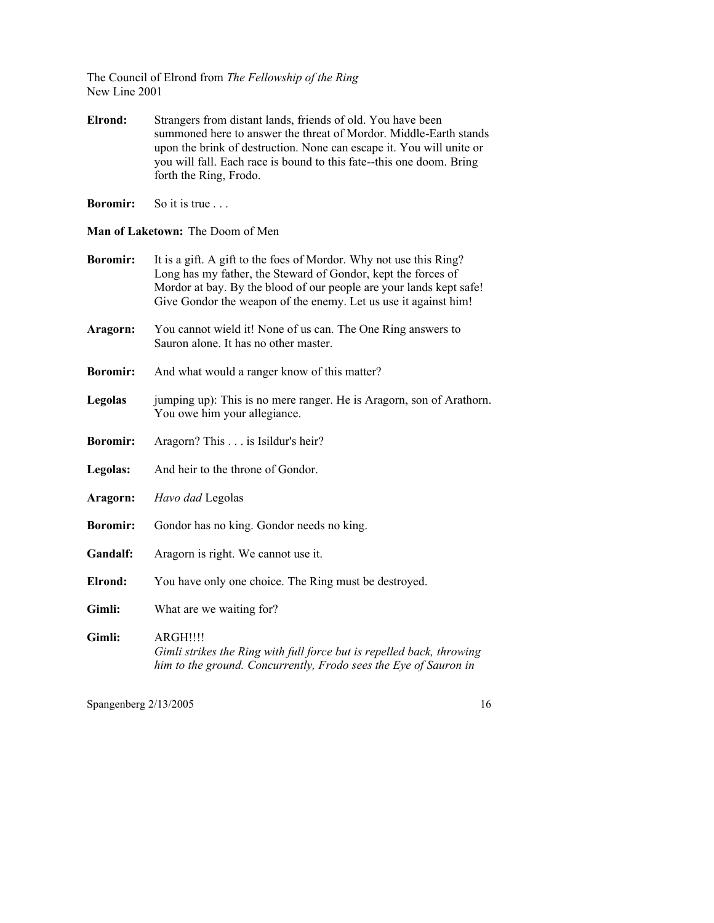The Council of Elrond from *The Fellowship of the Ring* New Line 2001

**Elrond:** Strangers from distant lands, friends of old. You have been summoned here to answer the threat of Mordor. Middle-Earth stands upon the brink of destruction. None can escape it. You will unite or you will fall. Each race is bound to this fate--this one doom. Bring forth the Ring, Frodo.

**Boromir:** So it is true . . .

**Man of Laketown:** The Doom of Men

- **Boromir:** It is a gift. A gift to the foes of Mordor. Why not use this Ring? Long has my father, the Steward of Gondor, kept the forces of Mordor at bay. By the blood of our people are your lands kept safe! Give Gondor the weapon of the enemy. Let us use it against him!
- **Aragorn:** You cannot wield it! None of us can. The One Ring answers to Sauron alone. It has no other master.
- **Boromir:** And what would a ranger know of this matter?
- **Legolas** jumping up): This is no mere ranger. He is Aragorn, son of Arathorn. You owe him your allegiance.
- **Boromir:** Aragorn? This . . . is Isildur's heir?
- **Legolas:** And heir to the throne of Gondor.
- **Aragorn:** *Havo dad* Legolas
- **Boromir:** Gondor has no king. Gondor needs no king.
- **Gandalf:** Aragorn is right. We cannot use it.
- **Elrond:** You have only one choice. The Ring must be destroyed.
- **Gimli:** What are we waiting for?
- **Gimli:** ARGH!!!! *Gimli strikes the Ring with full force but is repelled back, throwing him to the ground. Concurrently, Frodo sees the Eye of Sauron in*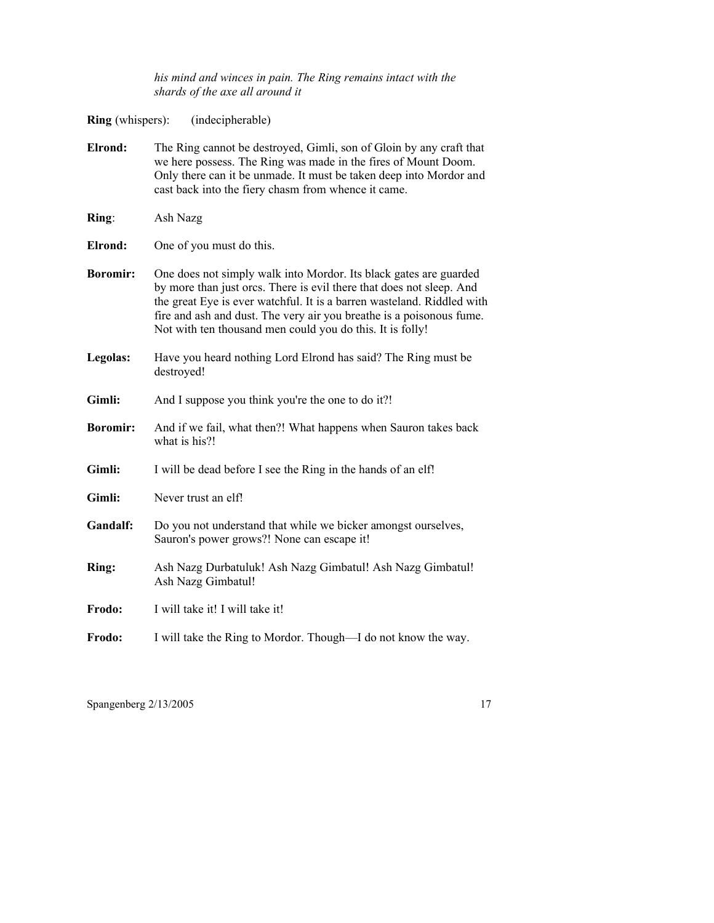*his mind and winces in pain. The Ring remains intact with the shards of the axe all around it*

**Ring** (whispers): (indecipherable)

| Elrond:         | The Ring cannot be destroyed, Gimli, son of Gloin by any craft that<br>we here possess. The Ring was made in the fires of Mount Doom.<br>Only there can it be unmade. It must be taken deep into Mordor and<br>cast back into the fiery chasm from whence it came.                                                                                       |
|-----------------|----------------------------------------------------------------------------------------------------------------------------------------------------------------------------------------------------------------------------------------------------------------------------------------------------------------------------------------------------------|
| Ring:           | Ash Nazg                                                                                                                                                                                                                                                                                                                                                 |
| Elrond:         | One of you must do this.                                                                                                                                                                                                                                                                                                                                 |
| <b>Boromir:</b> | One does not simply walk into Mordor. Its black gates are guarded<br>by more than just orcs. There is evil there that does not sleep. And<br>the great Eye is ever watchful. It is a barren wasteland. Riddled with<br>fire and ash and dust. The very air you breathe is a poisonous fume.<br>Not with ten thousand men could you do this. It is folly! |
| Legolas:        | Have you heard nothing Lord Elrond has said? The Ring must be<br>destroyed!                                                                                                                                                                                                                                                                              |
| Gimli:          | And I suppose you think you're the one to do it?!                                                                                                                                                                                                                                                                                                        |
| <b>Boromir:</b> | And if we fail, what then?! What happens when Sauron takes back<br>what is his?!                                                                                                                                                                                                                                                                         |
| Gimli:          | I will be dead before I see the Ring in the hands of an elf!                                                                                                                                                                                                                                                                                             |
| Gimli:          | Never trust an elf!                                                                                                                                                                                                                                                                                                                                      |
| Gandalf:        | Do you not understand that while we bicker amongst ourselves,<br>Sauron's power grows?! None can escape it!                                                                                                                                                                                                                                              |
| Ring:           | Ash Nazg Durbatuluk! Ash Nazg Gimbatul! Ash Nazg Gimbatul!<br>Ash Nazg Gimbatul!                                                                                                                                                                                                                                                                         |
| Frodo:          | I will take it! I will take it!                                                                                                                                                                                                                                                                                                                          |
| Frodo:          | I will take the Ring to Mordor. Though—I do not know the way.                                                                                                                                                                                                                                                                                            |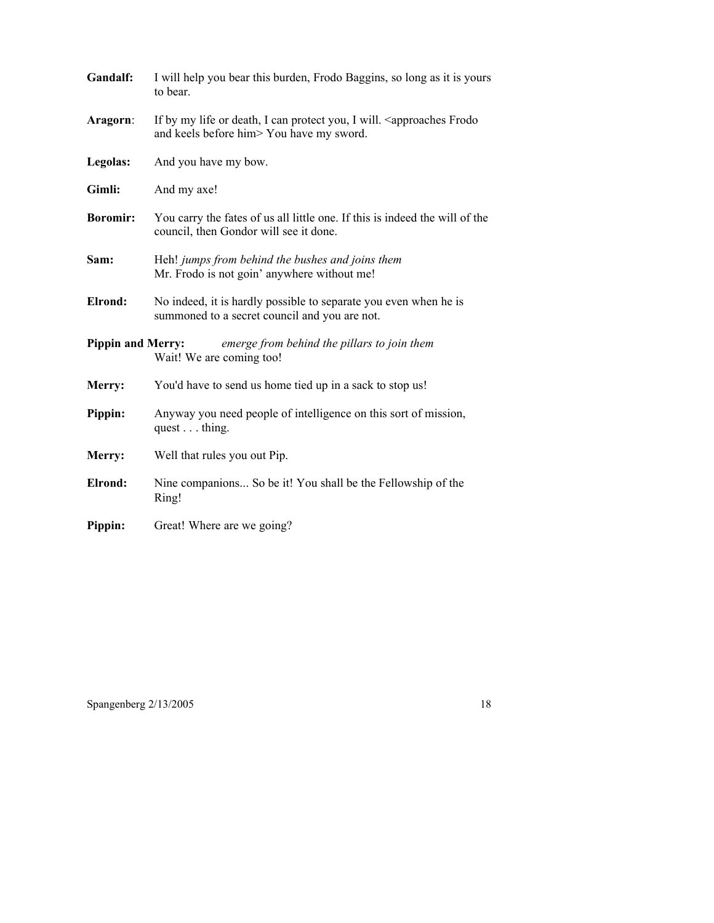| Gandalf:                 | I will help you bear this burden, Frodo Baggins, so long as it is yours<br>to bear.                                                 |
|--------------------------|-------------------------------------------------------------------------------------------------------------------------------------|
| Aragorn:                 | If by my life or death, I can protect you, I will. <approaches frodo<br="">and keels before him&gt; You have my sword.</approaches> |
| Legolas:                 | And you have my bow.                                                                                                                |
| Gimli:                   | And my axe!                                                                                                                         |
| <b>Boromir:</b>          | You carry the fates of us all little one. If this is indeed the will of the<br>council, then Gondor will see it done.               |
| Sam:                     | Heh! jumps from behind the bushes and joins them<br>Mr. Frodo is not goin' anywhere without me!                                     |
| Elrond:                  | No indeed, it is hardly possible to separate you even when he is<br>summoned to a secret council and you are not.                   |
| <b>Pippin and Merry:</b> | emerge from behind the pillars to join them<br>Wait! We are coming too!                                                             |
| Merry:                   | You'd have to send us home tied up in a sack to stop us!                                                                            |
| Pippin:                  | Anyway you need people of intelligence on this sort of mission,<br>quest thing.                                                     |
| Merry:                   | Well that rules you out Pip.                                                                                                        |
| Elrond:                  | Nine companions So be it! You shall be the Fellowship of the<br>Ring!                                                               |
| Pippin:                  | Great! Where are we going?                                                                                                          |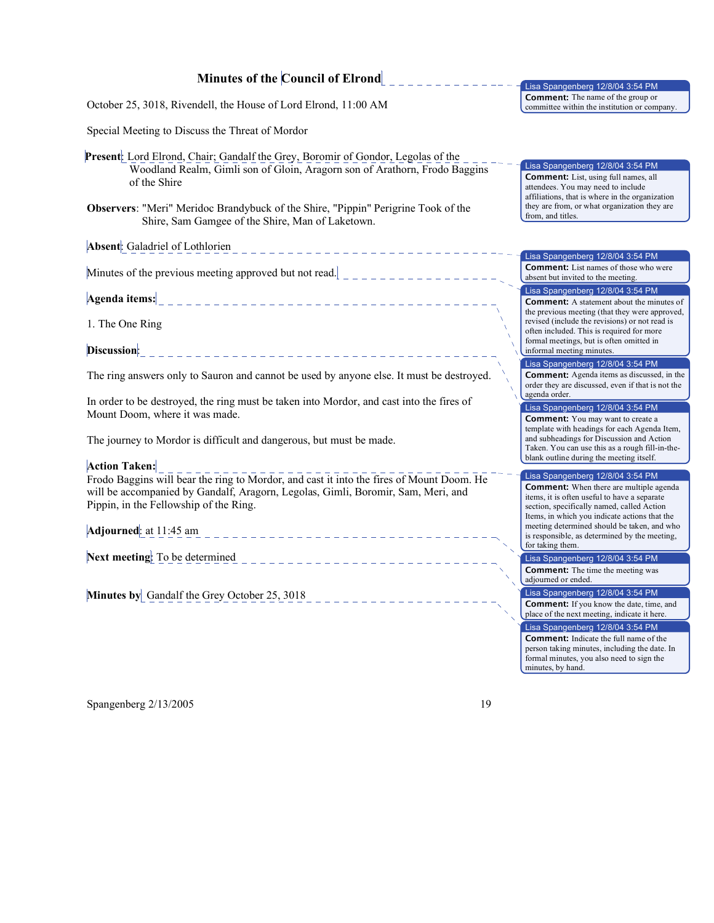## **Minutes of the Council of Elrond**

\_\_\_\_\_\_\_\_\_\_\_\_

October 25, 3018, Rivendell, the House of Lord Elrond, 11:00 AM

Special Meeting to Discuss the Threat of Mordor

**Present**: Lord Elrond, Chair; Gandalf the Grey, Boromir of Gondor, Legolas of the Woodland Realm, Gimli son of Gloin, Aragorn son of Arathorn, Frodo Baggins of the Shire

**Observers**: "Meri" Meridoc Brandybuck of the Shire, "Pippin" Perigrine Took of the Shire, Sam Gamgee of the Shire, Man of Laketown.

**Absent**: Galadriel of Lothlorien

Minutes of the previous meeting approved but not read.  $\vert$  \_ \_ \_ \_ \_ \_ \_ \_ \_ \_ \_ \_ \_

**Agenda items:**

1. The One Ring

**Discussion**: \_\_\_\_\_\_\_\_\_\_\_\_\_\_\_\_\_\_\_\_\_\_\_\_\_\_\_\_\_\_\_\_\_\_

The ring answers only to Sauron and cannot be used by anyone else. It must be destroyed.

In order to be destroyed, the ring must be taken into Mordor, and cast into the fires of Mount Doom, where it was made.

The journey to Mordor is difficult and dangerous, but must be made.

**Action Taken:** 

Frodo Baggins will bear the ring to Mordor, and cast it into the fires of Mount Doom. He will be accompanied by Gandalf, Aragorn, Legolas, Gimli, Boromir, Sam, Meri, and Pippin, in the Fellowship of the Ring.

**Adjourned**: at 11:45 am

**Next meeting**: To be determined

**Minutes by** Gandalf the Grey October 25, 3018

Lisa Spangenberg 12/8/04 3:54 PM **Comment:** The name of the group or committee within the institution or company.

Lisa Spangenberg 12/8/04 3:54 PM **Comment:** List, using full names, all attendees. You may need to include affiliations, that is where in the organization they are from, or what organization they are from, and titles.

Lisa Spangenberg 12/8/04 3:54 PM **Comment:** List names of those who were absent but invited to the meeting.

Lisa Spangenberg 12/8/04 3:54 PM

**Comment:** A statement about the minutes of the previous meeting (that they were approved, revised (include the revisions) or not read is often included. This is required for more formal meetings, but is often omitted in informal meeting minutes.

Lisa Spangenberg 12/8/04 3:54 PM **Comment:** Agenda items as discussed, in the order they are discussed, even if that is not the agenda order.

Lisa Spangenberg 12/8/04 3:54 PM **Comment:** You may want to create a template with headings for each Agenda Item, and subheadings for Discussion and Action Taken. You can use this as a rough fill-in-theblank outline during the meeting itself.

Lisa Spangenberg 12/8/04 3:54 PM **Comment:** When there are multiple agenda items, it is often useful to have a separate section, specifically named, called Action Items, in which you indicate actions that the meeting determined should be taken, and who is responsible, as determined by the meeting, for taking them.

Lisa Spangenberg 12/8/04 3:54 PM **Comment:** The time the meeting was adjourned or ended.

Lisa Spangenberg 12/8/04 3:54 PM Lisa Spangenberg 12/8/04 3:54 PM **Comment:** If you know the date, time, and place of the next meeting, indicate it here. **Comment:** Indicate the full name of the

person taking minutes, including the date. In formal minutes, you also need to sign the minutes, by hand.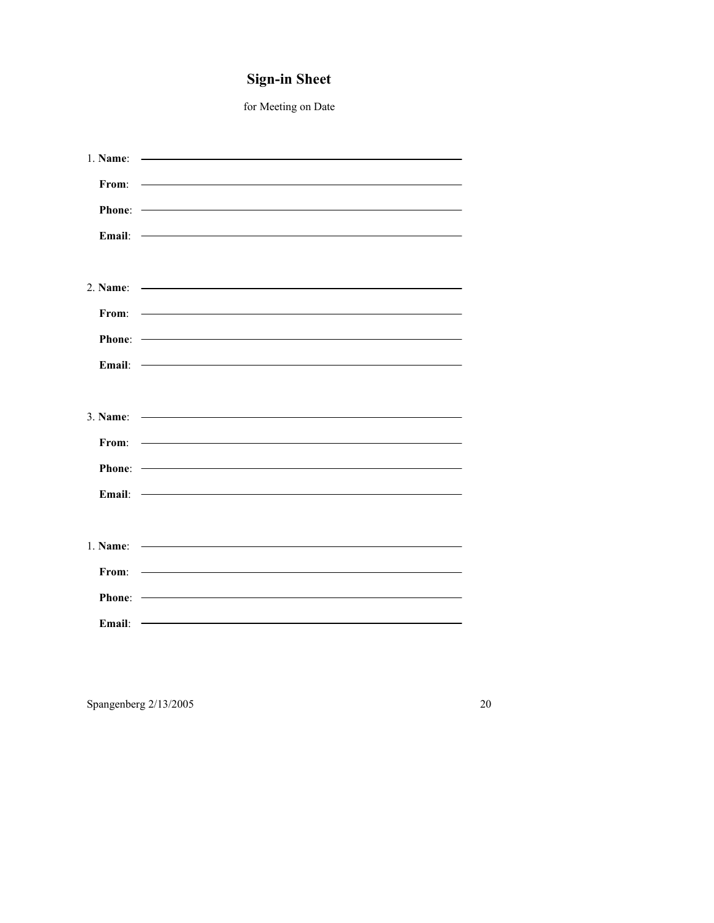# **Sign-in Sheet**

for Meeting on Date

| $1.$ Name: | <u> 1980 - Antonio Alemania, prima postala pre</u>                                                                                                                                                                                                                                                                                  |
|------------|-------------------------------------------------------------------------------------------------------------------------------------------------------------------------------------------------------------------------------------------------------------------------------------------------------------------------------------|
| From:      | <u> The Communication of the Communication of the Communication of the Communication of the Communication of the Co</u>                                                                                                                                                                                                             |
|            |                                                                                                                                                                                                                                                                                                                                     |
|            |                                                                                                                                                                                                                                                                                                                                     |
| Email:     | <u> Alexandria de la contrada de la contrada de la contrada de la contrada de la contrada de la contrada de la c</u>                                                                                                                                                                                                                |
|            |                                                                                                                                                                                                                                                                                                                                     |
|            | 2. Name:                                                                                                                                                                                                                                                                                                                            |
|            | <u> 1989 - Andrea Station Barbara, amerikan personal di sebagai personal di sebagai personal di sebagai personal </u>                                                                                                                                                                                                               |
| From:      |                                                                                                                                                                                                                                                                                                                                     |
|            |                                                                                                                                                                                                                                                                                                                                     |
|            | Email: - <b>Email:</b> - <b>Email:</b> - <b>Email:</b> - <b>Email:</b> - <b>Email:</b> - <b>Email:</b> - <b>Email:</b> - <b>Email:</b> - <b>Email:</b> - <b>Email:</b> - <b>Email:</b> - <b>Email:</b> - <b>Email:</b> - <b>Email:</b> - <b>Email:</b> - <b>Email:</b> - <b>Email:</b> - <b>Email:</b> - <b>Email:</b> - <b>Ema</b> |
|            |                                                                                                                                                                                                                                                                                                                                     |
|            | 3. Name: $\frac{1}{2}$ = $\frac{1}{2}$ = $\frac{1}{2}$ = $\frac{1}{2}$ = $\frac{1}{2}$ = $\frac{1}{2}$ = $\frac{1}{2}$ = $\frac{1}{2}$ = $\frac{1}{2}$ = $\frac{1}{2}$ = $\frac{1}{2}$ = $\frac{1}{2}$ = $\frac{1}{2}$ = $\frac{1}{2}$ = $\frac{1}{2}$ = $\frac{1}{2}$ = $\frac{1}{2}$ = $\frac{1}{2}$                              |
|            |                                                                                                                                                                                                                                                                                                                                     |
| From:      | <u> The Communication of the Communication of the Communication of the Communication of the Communication of the Co</u>                                                                                                                                                                                                             |
|            |                                                                                                                                                                                                                                                                                                                                     |
| Email:     | <u> 1989 - Andrea Station, amerikansk politik (</u>                                                                                                                                                                                                                                                                                 |
|            |                                                                                                                                                                                                                                                                                                                                     |
|            |                                                                                                                                                                                                                                                                                                                                     |
| 1. Name:   | <u> 1989 - Johann Harry Harry Harry Harry Harry Harry Harry Harry Harry Harry Harry Harry Harry Harry Harry Harry</u>                                                                                                                                                                                                               |
| From:      | <u> 1989 - Johann Harry Harry Harry Harry Harry Harry Harry Harry Harry Harry Harry Harry Harry Harry Harry Harry</u>                                                                                                                                                                                                               |
| Phone:     | <u> Alexandria de la contenta de la contenta de la contenta de la contenta de la contenta de la contenta de la c</u>                                                                                                                                                                                                                |
| Email:     | <u> Alexandria de la contrada de la contrada de la contrada de la contrada de la contrada de la contrada de la c</u>                                                                                                                                                                                                                |
|            |                                                                                                                                                                                                                                                                                                                                     |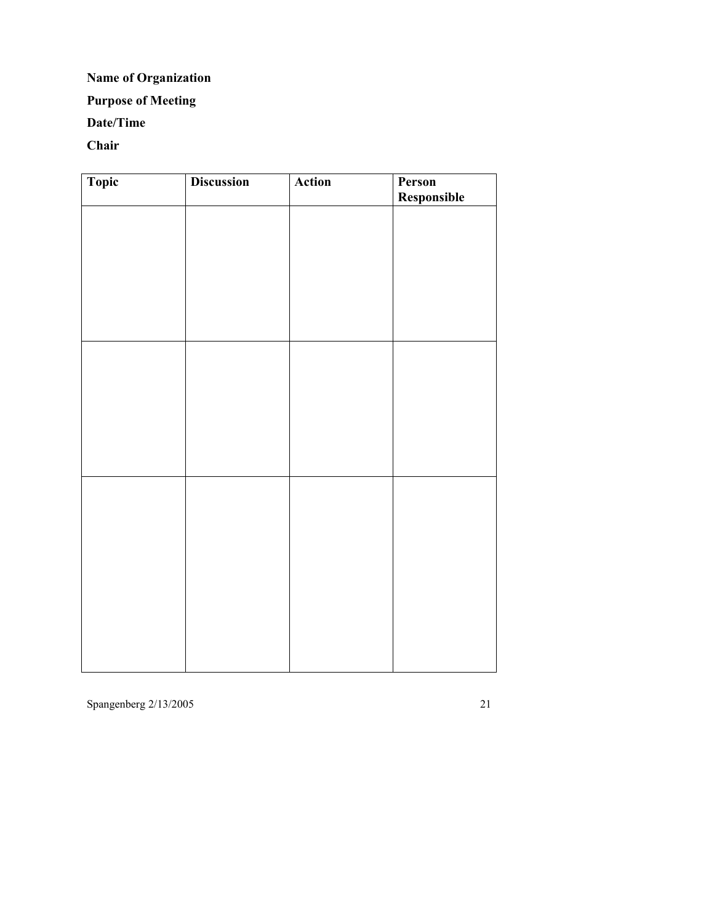## **Name of Organization**

## **Purpose of Meeting**

## **Date/Time**

## **Chair**

| Topic | <b>Discussion</b> | Action | Person<br>Responsible |
|-------|-------------------|--------|-----------------------|
|       |                   |        |                       |
|       |                   |        |                       |
|       |                   |        |                       |
|       |                   |        |                       |
|       |                   |        |                       |
|       |                   |        |                       |
|       |                   |        |                       |
|       |                   |        |                       |
|       |                   |        |                       |
|       |                   |        |                       |
|       |                   |        |                       |
|       |                   |        |                       |
|       |                   |        |                       |
|       |                   |        |                       |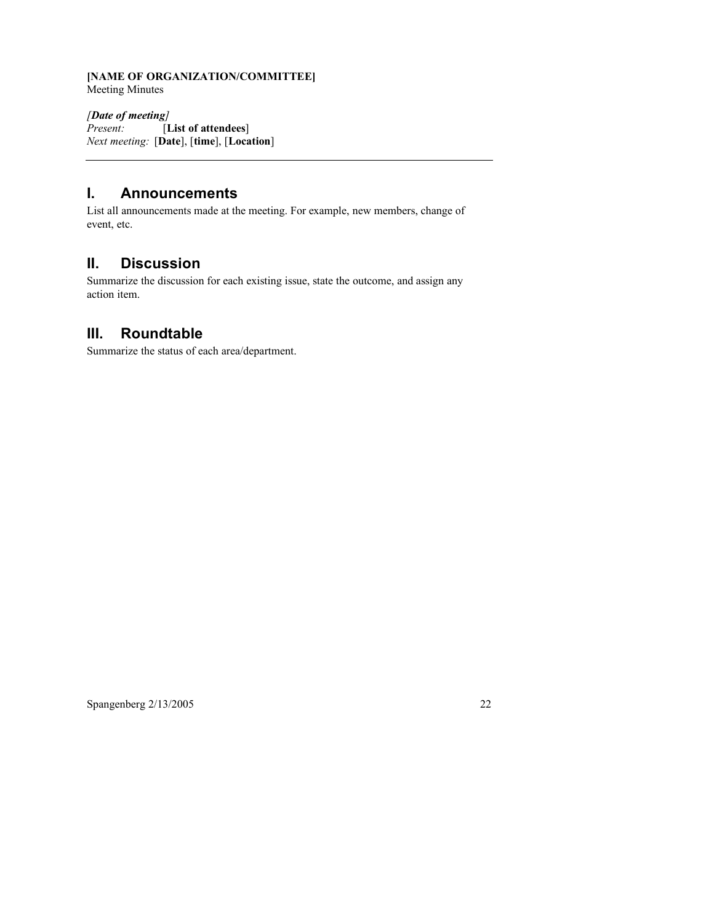### **[NAME OF ORGANIZATION/COMMITTEE]** Meeting Minutes

*[Date of meeting] Present:* [**List of attendees**] *Next meeting:* [**Date**], [**time**], [**Location**]

## **I. Announcements**

List all announcements made at the meeting. For example, new members, change of event, etc.

## **II. Discussion**

Summarize the discussion for each existing issue, state the outcome, and assign any action item.

## **III. Roundtable**

Summarize the status of each area/department.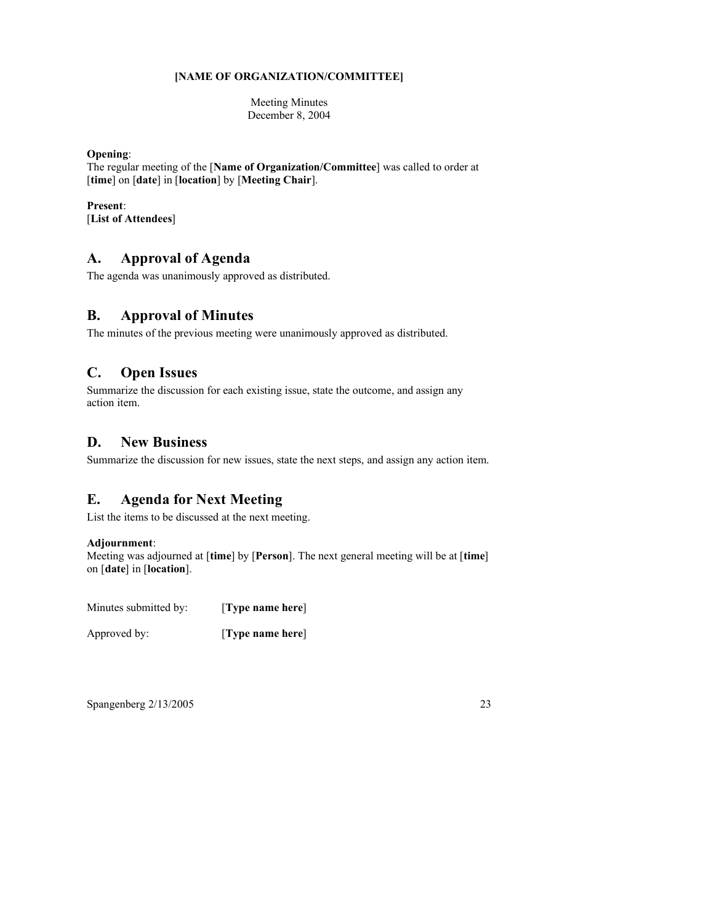#### **[NAME OF ORGANIZATION/COMMITTEE]**

Meeting Minutes December 8, 2004

### **Opening**:

The regular meeting of the [**Name of Organization/Committee**] was called to order at [**time**] on [**date**] in [**location**] by [**Meeting Chair**].

## **Present**:

[**List of Attendees**]

## **A. Approval of Agenda**

The agenda was unanimously approved as distributed.

## **B. Approval of Minutes**

The minutes of the previous meeting were unanimously approved as distributed.

## **C. Open Issues**

Summarize the discussion for each existing issue, state the outcome, and assign any action item.

## **D. New Business**

Summarize the discussion for new issues, state the next steps, and assign any action item.

## **E. Agenda for Next Meeting**

List the items to be discussed at the next meeting.

### **Adjournment**:

Meeting was adjourned at [**time**] by [**Person**]. The next general meeting will be at [**time**] on [**date**] in [**location**].

Minutes submitted by: [**Type name here**]

Approved by: [**Type name here**]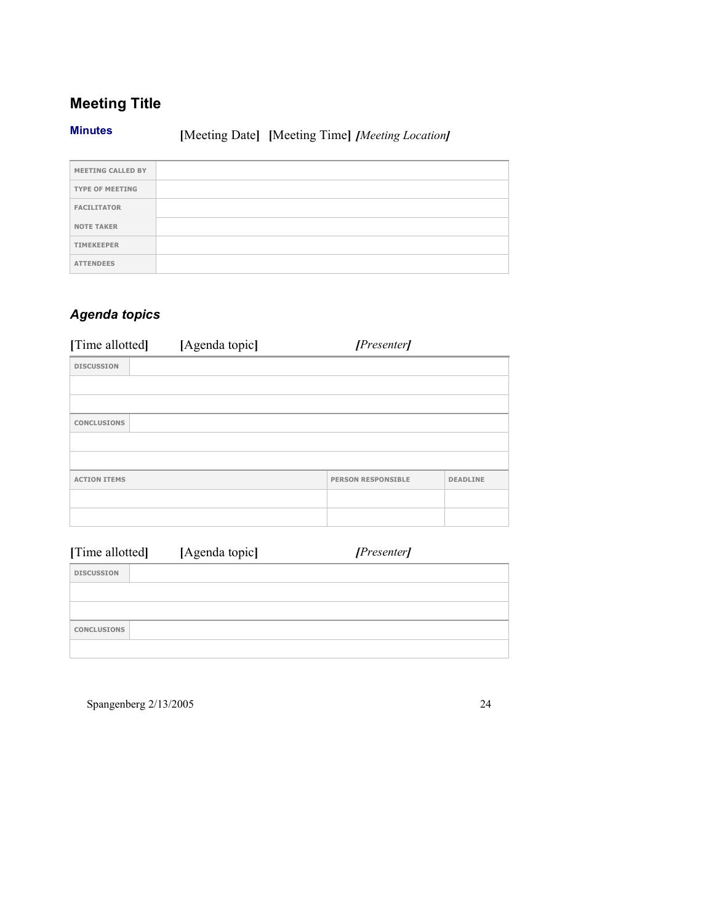# **Meeting Title**

**Minutes [**Meeting Date**] [**Meeting Time**]** *[Meeting Location]*

| <b>MEETING CALLED BY</b> |  |
|--------------------------|--|
| <b>TYPE OF MEETING</b>   |  |
| <b>FACILITATOR</b>       |  |
| <b>NOTE TAKER</b>        |  |
| <b>TIMEKEEPER</b>        |  |
| <b>ATTENDEES</b>         |  |

# *Agenda topics*

| [Time allotted]     | [Agenda topic] | [Presenter]               |                 |
|---------------------|----------------|---------------------------|-----------------|
| <b>DISCUSSION</b>   |                |                           |                 |
|                     |                |                           |                 |
|                     |                |                           |                 |
| <b>CONCLUSIONS</b>  |                |                           |                 |
|                     |                |                           |                 |
|                     |                |                           |                 |
| <b>ACTION ITEMS</b> |                | <b>PERSON RESPONSIBLE</b> | <b>DEADLINE</b> |
|                     |                |                           |                 |
|                     |                |                           |                 |

| [Time allotted]    | [Agenda topic] | [Presenter] |  |
|--------------------|----------------|-------------|--|
| <b>DISCUSSION</b>  |                |             |  |
|                    |                |             |  |
|                    |                |             |  |
| <b>CONCLUSIONS</b> |                |             |  |
|                    |                |             |  |

Spangenberg  $2/13/2005$ 

| ٠<br>۰ |  |
|--------|--|
|        |  |